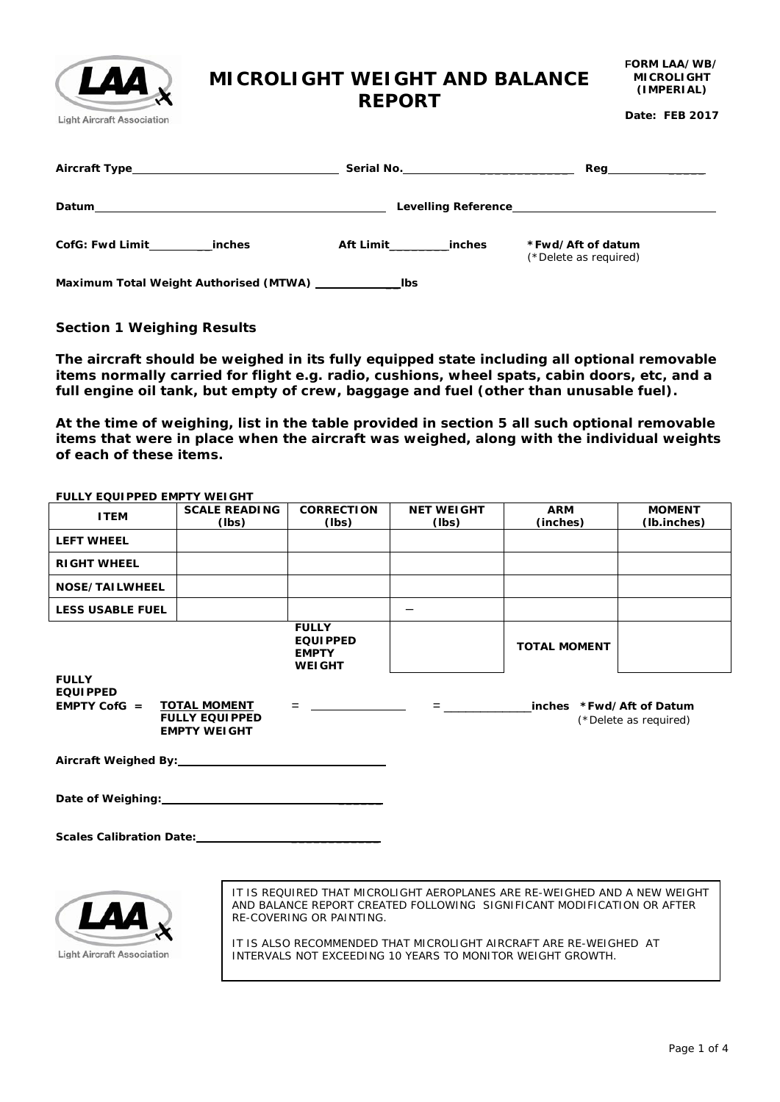# **MICROLIGHT WEIGHT AND BALANCE REPORT**

**Date: FEB 2017**

| Aircraft Type_____________________________                                                                                     |                     |                                            |
|--------------------------------------------------------------------------------------------------------------------------------|---------------------|--------------------------------------------|
| Datum<br><u> 1999 - Johann Barbara, marka a shekara ta 1999 - An tsara tsa 1999 - An tsara tsa 1999 - An tsara tsa 1999 - </u> |                     |                                            |
| CofG: Fwd Limit_<br>inches                                                                                                     | Aft Limit<br>inches | *Fwd/Aft of datum<br>(*Delete as required) |
| Maximum Total Weight Authorised (MTWA)                                                                                         | Ibs                 |                                            |

### **Section 1 Weighing Results**

L

**Light Aircraft Association** 

**The aircraft should be weighed in its fully equipped state including all optional removable items normally carried for flight e.g. radio, cushions, wheel spats, cabin doors, etc, and a full engine oil tank, but empty of crew, baggage and fuel (other than unusable fuel).** 

**At the time of weighing, list in the table provided in section 5 all such optional removable items that were in place when the aircraft was weighed, along with the individual weights of each of these items.**

| FULLY EQUIPPED EMPTY WEIGHT                                                                                                                                                                                                   |                                                                     |                                                                  |                              |                                                                                                                                                                                                                                                                                        |                       |
|-------------------------------------------------------------------------------------------------------------------------------------------------------------------------------------------------------------------------------|---------------------------------------------------------------------|------------------------------------------------------------------|------------------------------|----------------------------------------------------------------------------------------------------------------------------------------------------------------------------------------------------------------------------------------------------------------------------------------|-----------------------|
| <b>ITEM</b>                                                                                                                                                                                                                   | <b>SCALE READING</b>                                                | <b>CORRECTION</b>                                                | <b>NET WEIGHT</b>            | <b>ARM</b>                                                                                                                                                                                                                                                                             | <b>MOMENT</b>         |
|                                                                                                                                                                                                                               | (Ibs)                                                               | (lbs)                                                            | (lbs)                        | (inches)                                                                                                                                                                                                                                                                               | (lb.inches)           |
| <b>LEFT WHEEL</b>                                                                                                                                                                                                             |                                                                     |                                                                  |                              |                                                                                                                                                                                                                                                                                        |                       |
| <b>RIGHT WHEEL</b>                                                                                                                                                                                                            |                                                                     |                                                                  |                              |                                                                                                                                                                                                                                                                                        |                       |
| NOSE/TAILWHEEL                                                                                                                                                                                                                |                                                                     |                                                                  |                              |                                                                                                                                                                                                                                                                                        |                       |
| <b>LESS USABLE FUEL</b>                                                                                                                                                                                                       |                                                                     |                                                                  |                              |                                                                                                                                                                                                                                                                                        |                       |
|                                                                                                                                                                                                                               |                                                                     | <b>FULLY</b><br><b>EQUIPPED</b><br><b>EMPTY</b><br><b>WEIGHT</b> |                              | <b>TOTAL MOMENT</b>                                                                                                                                                                                                                                                                    |                       |
| <b>FULLY</b><br><b>EQUIPPED</b><br><b>EMPTY CofG</b> $=$                                                                                                                                                                      | <b>TOTAL MOMENT</b><br><b>FULLY EQUIPPED</b><br><b>EMPTY WEIGHT</b> |                                                                  | $\equiv$ 100 $\pm$ 100 $\pm$ | inches *Fwd/Aft of Datum                                                                                                                                                                                                                                                               | (*Delete as required) |
| Aircraft Weighed By: Network and Separate Separate Separate Separate Separate Separate Separate Separate Separate Separate Separate Separate Separate Separate Separate Separate Separate Separate Separate Separate Separate |                                                                     |                                                                  |                              |                                                                                                                                                                                                                                                                                        |                       |
| Date of Weighing: Network and Contact the Contact of Weighing:                                                                                                                                                                |                                                                     |                                                                  |                              |                                                                                                                                                                                                                                                                                        |                       |
| Scales Calibration Date: [19]                                                                                                                                                                                                 |                                                                     |                                                                  |                              |                                                                                                                                                                                                                                                                                        |                       |
| <b>Light Aircraft Association</b>                                                                                                                                                                                             |                                                                     | RE-COVERING OR PAINTING.                                         |                              | IT IS REOUIRED THAT MICROLIGHT AEROPLANES ARE RE-WEIGHED AND A NEW WEIGHT<br>AND BALANCE REPORT CREATED FOLLOWING SIGNIFICANT MODIFICATION OR AFTER<br>IT IS ALSO RECOMMENDED THAT MICROLIGHT AIRCRAFT ARE RE-WEIGHED AT<br>INTERVALS NOT EXCEEDING 10 YEARS TO MONITOR WEIGHT GROWTH. |                       |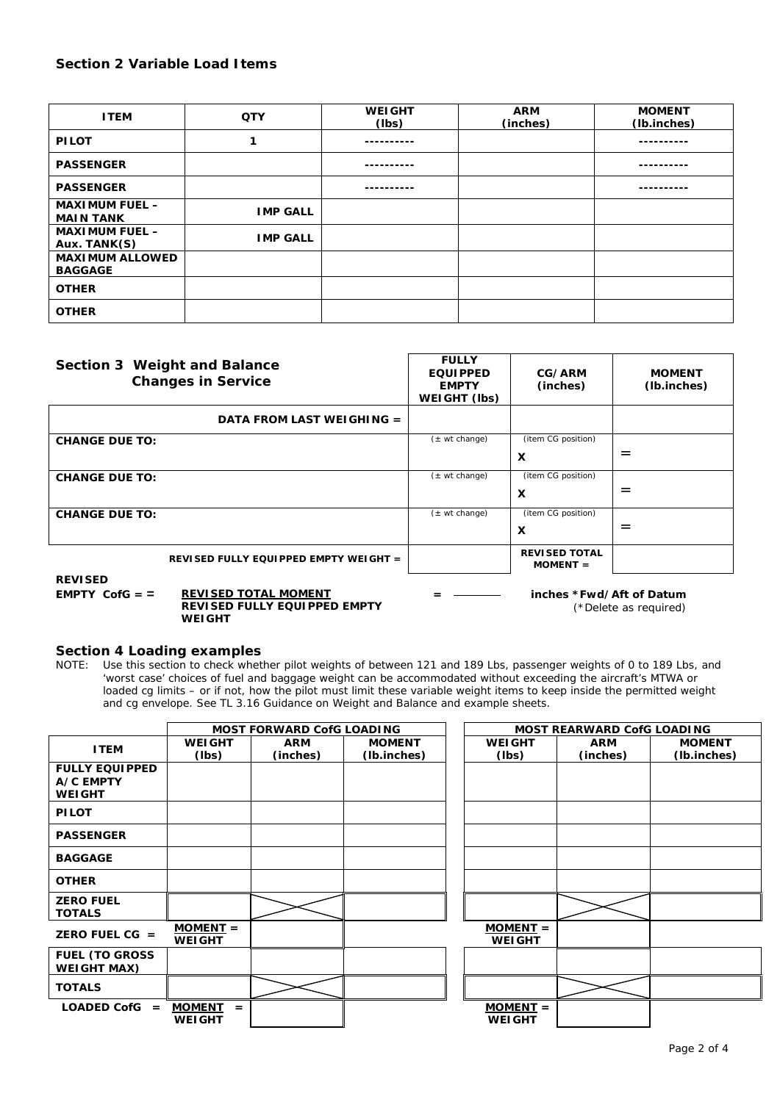#### **Section 2 Variable Load Items**

| <b>ITEM</b>                               | <b>QTY</b>      | <b>WEIGHT</b><br>(lbs) | <b>ARM</b><br>(inches) | <b>MOMENT</b><br>(Ib.inches) |
|-------------------------------------------|-----------------|------------------------|------------------------|------------------------------|
| <b>PILOT</b>                              | 1               |                        |                        |                              |
| <b>PASSENGER</b>                          |                 |                        |                        |                              |
| <b>PASSENGER</b>                          |                 |                        |                        |                              |
| <b>MAXIMUM FUEL -</b><br><b>MAIN TANK</b> | <b>IMP GALL</b> |                        |                        |                              |
| <b>MAXIMUM FUEL -</b><br>Aux. TANK(S)     | <b>IMP GALL</b> |                        |                        |                              |
| <b>MAXIMUM ALLOWED</b><br><b>BAGGAGE</b>  |                 |                        |                        |                              |
| <b>OTHER</b>                              |                 |                        |                        |                              |
| <b>OTHER</b>                              |                 |                        |                        |                              |

| Section 3 Weight and Balance<br><b>Changes in Service</b>                                                   | <b>FULLY</b><br><b>EQUIPPED</b><br><b>EMPTY</b><br>WEIGHT (lbs) | CG/ARM<br>(inches)                 | <b>MOMENT</b><br>(lb.inches) |
|-------------------------------------------------------------------------------------------------------------|-----------------------------------------------------------------|------------------------------------|------------------------------|
| DATA FROM LAST WEIGHING =                                                                                   |                                                                 |                                    |                              |
| <b>CHANGE DUE TO:</b>                                                                                       | $(\pm \text{ wt change})$                                       | (item CG position)                 |                              |
|                                                                                                             |                                                                 | $\boldsymbol{\mathsf{x}}$          | $=$                          |
| <b>CHANGE DUE TO:</b>                                                                                       | $(\pm \text{ wt change})$                                       | (item CG position)                 |                              |
|                                                                                                             |                                                                 | $\boldsymbol{\mathsf{x}}$          | $=$                          |
| <b>CHANGE DUE TO:</b>                                                                                       | $(\pm \text{ wt change})$                                       | (item CG position)                 |                              |
|                                                                                                             |                                                                 | X                                  | $=$                          |
| REVISED FULLY EQUIPPED EMPTY WEIGHT =                                                                       |                                                                 | <b>REVISED TOTAL</b><br>$MOMENT =$ |                              |
| <b>REVISED</b><br><b>REVISED TOTAL MOMENT</b><br>EMPTY CofG $=$ $=$<br><u> DEVIAED EULLY FAULDDED EMPTY</u> |                                                                 | inches *Fwd/Aft of Datum           |                              |

**REVISED FULLY EQUIPPED EMPTY WEIGHT**

(\*Delete as required)

#### **Section 4 Loading examples**

NOTE: Use this section to check whether pilot weights of between 121 and 189 Lbs, passenger weights of 0 to 189 Lbs, and 'worst case' choices of fuel and baggage weight can be accommodated without exceeding the aircraft's MTWA or loaded cg limits – or if not, how the pilot must limit these variable weight items to keep inside the permitted weight and cg envelope. See TL 3.16 Guidance on Weight and Balance and example sheets.

|                       |                      | <b>MOST FORWARD CofG LOADING</b> |               |               | <b>MOST REARWARD CofG LOADING</b> |               |
|-----------------------|----------------------|----------------------------------|---------------|---------------|-----------------------------------|---------------|
| <b>ITEM</b>           | <b>WEIGHT</b>        | <b>ARM</b>                       | <b>MOMENT</b> | <b>WEIGHT</b> | <b>ARM</b>                        | <b>MOMENT</b> |
|                       | (lbs)                | (inches)                         | (Ib.inches)   | (lbs)         | (inches)                          | (Ib.inches)   |
| <b>FULLY EQUIPPED</b> |                      |                                  |               |               |                                   |               |
| A/C EMPTY             |                      |                                  |               |               |                                   |               |
| <b>WEIGHT</b>         |                      |                                  |               |               |                                   |               |
| <b>PILOT</b>          |                      |                                  |               |               |                                   |               |
|                       |                      |                                  |               |               |                                   |               |
| <b>PASSENGER</b>      |                      |                                  |               |               |                                   |               |
| <b>BAGGAGE</b>        |                      |                                  |               |               |                                   |               |
| <b>OTHER</b>          |                      |                                  |               |               |                                   |               |
| <b>ZERO FUEL</b>      |                      |                                  |               |               |                                   |               |
| <b>TOTALS</b>         |                      |                                  |               |               |                                   |               |
| ZERO FUEL CG $=$      | $MOMENT =$           |                                  |               | $MOMENT =$    |                                   |               |
|                       | <b>WEIGHT</b>        |                                  |               | <b>WEIGHT</b> |                                   |               |
| <b>FUEL (TO GROSS</b> |                      |                                  |               |               |                                   |               |
| <b>WEIGHT MAX)</b>    |                      |                                  |               |               |                                   |               |
| <b>TOTALS</b>         |                      |                                  |               |               |                                   |               |
| $LOADED$ CofG $=$     | <b>MOMENT</b><br>$=$ |                                  |               | $MOMENT =$    |                                   |               |
|                       | <b>WEIGHT</b>        |                                  |               | <b>WEIGHT</b> |                                   |               |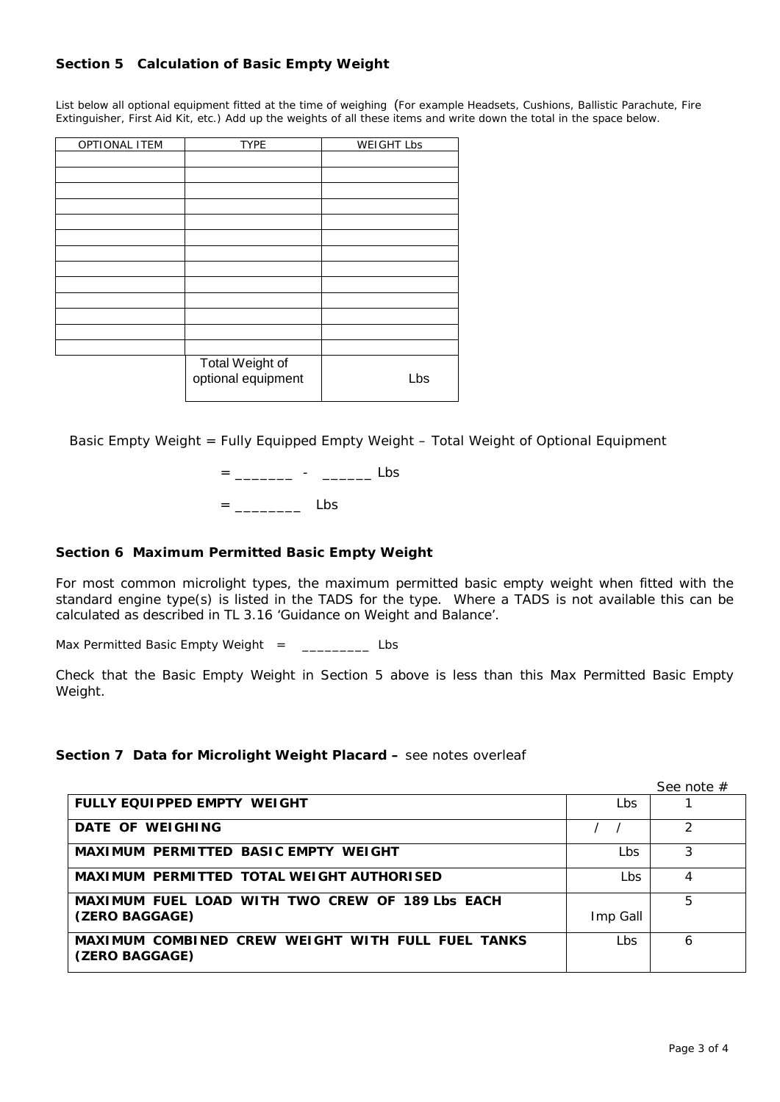## **Section 5 Calculation of Basic Empty Weight**

List below all optional equipment fitted at the time of weighing(For example Headsets, Cushions, Ballistic Parachute, Fire Extinguisher, First Aid Kit, etc.) Add up the weights of all these items and write down the total in the space below.

| <b>OPTIONAL ITEM</b> | <b>TYPE</b>                           | <b>WEIGHT Lbs</b> |
|----------------------|---------------------------------------|-------------------|
|                      |                                       |                   |
|                      |                                       |                   |
|                      |                                       |                   |
|                      |                                       |                   |
|                      |                                       |                   |
|                      |                                       |                   |
|                      |                                       |                   |
|                      |                                       |                   |
|                      |                                       |                   |
|                      |                                       |                   |
|                      |                                       |                   |
|                      |                                       |                   |
|                      |                                       |                   |
|                      | Total Weight of<br>optional equipment | Lbs               |

Basic Empty Weight = Fully Equipped Empty Weight – Total Weight of Optional Equipment

= \_\_\_\_\_\_\_\_\_ - \_\_\_\_\_\_\_\_ Lbs = \_\_\_\_\_\_\_\_ Lbs

### **Section 6 Maximum Permitted Basic Empty Weight**

For most common microlight types, the maximum permitted basic empty weight when fitted with the standard engine type(s) is listed in the TADS for the type. Where a TADS is not available this can be calculated as described in TL 3.16 'Guidance on Weight and Balance'.

Max Permitted Basic Empty Weight = \_\_\_\_\_\_\_\_\_ Lbs

Check that the Basic Empty Weight in Section 5 above is less than this Max Permitted Basic Empty Weight.

#### **Section 7 Data for Microlight Weight Placard –** see notes overleaf

See note #

| FULLY EQUIPPED EMPTY WEIGHT                                         | Lbs      |   |
|---------------------------------------------------------------------|----------|---|
| DATE OF WEIGHING                                                    |          |   |
| <b>MAXIMUM PERMITTED BASIC EMPTY WEIGHT</b>                         | Lbs      |   |
| <b>MAXIMUM PERMITTED TOTAL WEIGHT AUTHORISED</b>                    | Lbs      | 4 |
| MAXIMUM FUEL LOAD WITH TWO CREW OF 189 Lbs EACH                     |          | 5 |
| (ZERO BAGGAGE)                                                      | Imp Gall |   |
| MAXIMUM COMBINED CREW WEIGHT WITH FULL FUEL TANKS<br>(ZERO BAGGAGE) | Lbs      | 6 |